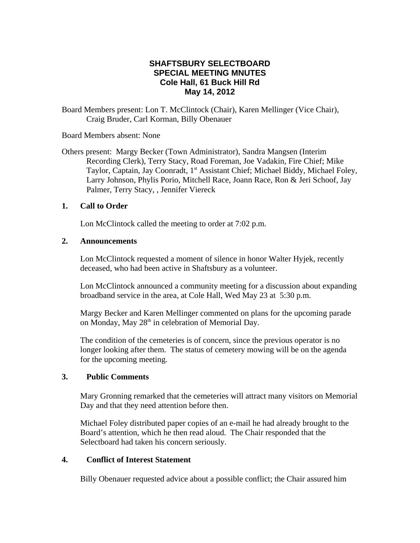# **SHAFTSBURY SELECTBOARD SPECIAL MEETING MNUTES Cole Hall, 61 Buck Hill Rd May 14, 2012**

Board Members present: Lon T. McClintock (Chair), Karen Mellinger (Vice Chair), Craig Bruder, Carl Korman, Billy Obenauer

Board Members absent: None

Others present: Margy Becker (Town Administrator), Sandra Mangsen (Interim Recording Clerk), Terry Stacy, Road Foreman, Joe Vadakin, Fire Chief; Mike Taylor, Captain, Jay Coonradt, 1<sup>st</sup> Assistant Chief; Michael Biddy, Michael Foley, Larry Johnson, Phylis Porio, Mitchell Race, Joann Race, Ron & Jeri Schoof, Jay Palmer, Terry Stacy, , Jennifer Viereck

# **1. Call to Order**

Lon McClintock called the meeting to order at 7:02 p.m.

## **2. Announcements**

Lon McClintock requested a moment of silence in honor Walter Hyjek, recently deceased, who had been active in Shaftsbury as a volunteer.

Lon McClintock announced a community meeting for a discussion about expanding broadband service in the area, at Cole Hall, Wed May 23 at 5:30 p.m.

Margy Becker and Karen Mellinger commented on plans for the upcoming parade on Monday, May  $28<sup>th</sup>$  in celebration of Memorial Day.

The condition of the cemeteries is of concern, since the previous operator is no longer looking after them. The status of cemetery mowing will be on the agenda for the upcoming meeting.

## **3. Public Comments**

Mary Gronning remarked that the cemeteries will attract many visitors on Memorial Day and that they need attention before then.

Michael Foley distributed paper copies of an e-mail he had already brought to the Board's attention, which he then read aloud. The Chair responded that the Selectboard had taken his concern seriously.

# **4. Conflict of Interest Statement**

Billy Obenauer requested advice about a possible conflict; the Chair assured him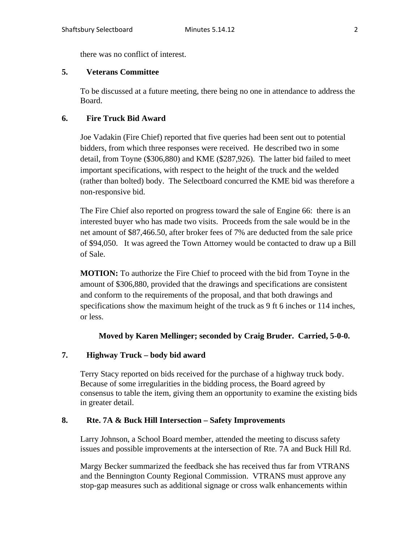there was no conflict of interest.

## **5. Veterans Committee**

To be discussed at a future meeting, there being no one in attendance to address the Board.

# **6. Fire Truck Bid Award**

Joe Vadakin (Fire Chief) reported that five queries had been sent out to potential bidders, from which three responses were received. He described two in some detail, from Toyne (\$306,880) and KME (\$287,926). The latter bid failed to meet important specifications, with respect to the height of the truck and the welded (rather than bolted) body. The Selectboard concurred the KME bid was therefore a non-responsive bid.

The Fire Chief also reported on progress toward the sale of Engine 66: there is an interested buyer who has made two visits. Proceeds from the sale would be in the net amount of \$87,466.50, after broker fees of 7% are deducted from the sale price of \$94,050. It was agreed the Town Attorney would be contacted to draw up a Bill of Sale.

**MOTION:** To authorize the Fire Chief to proceed with the bid from Toyne in the amount of \$306,880, provided that the drawings and specifications are consistent and conform to the requirements of the proposal, and that both drawings and specifications show the maximum height of the truck as 9 ft 6 inches or 114 inches, or less.

# **Moved by Karen Mellinger; seconded by Craig Bruder. Carried, 5-0-0.**

## **7. Highway Truck – body bid award**

Terry Stacy reported on bids received for the purchase of a highway truck body. Because of some irregularities in the bidding process, the Board agreed by consensus to table the item, giving them an opportunity to examine the existing bids in greater detail.

## **8. Rte. 7A & Buck Hill Intersection – Safety Improvements**

Larry Johnson, a School Board member, attended the meeting to discuss safety issues and possible improvements at the intersection of Rte. 7A and Buck Hill Rd.

Margy Becker summarized the feedback she has received thus far from VTRANS and the Bennington County Regional Commission. VTRANS must approve any stop-gap measures such as additional signage or cross walk enhancements within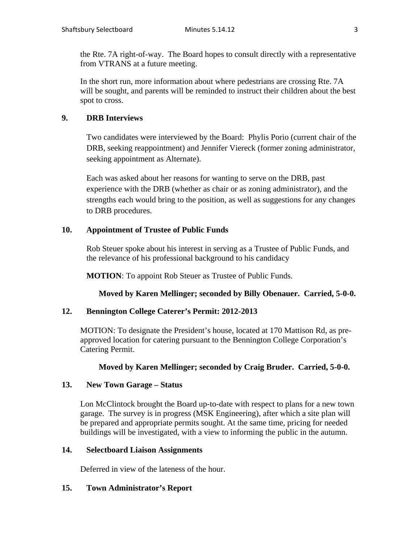the Rte. 7A right-of-way. The Board hopes to consult directly with a representative from VTRANS at a future meeting.

In the short run, more information about where pedestrians are crossing Rte. 7A will be sought, and parents will be reminded to instruct their children about the best spot to cross.

#### **9. DRB Interviews**

Two candidates were interviewed by the Board: Phylis Porio (current chair of the DRB, seeking reappointment) and Jennifer Viereck (former zoning administrator, seeking appointment as Alternate).

Each was asked about her reasons for wanting to serve on the DRB, past experience with the DRB (whether as chair or as zoning administrator), and the strengths each would bring to the position, as well as suggestions for any changes to DRB procedures.

#### **10. Appointment of Trustee of Public Funds**

Rob Steuer spoke about his interest in serving as a Trustee of Public Funds, and the relevance of his professional background to his candidacy

**MOTION**: To appoint Rob Steuer as Trustee of Public Funds.

**Moved by Karen Mellinger; seconded by Billy Obenauer. Carried, 5-0-0.**

#### **12. Bennington College Caterer's Permit: 2012-2013**

MOTION: To designate the President's house, located at 170 Mattison Rd, as preapproved location for catering pursuant to the Bennington College Corporation's Catering Permit.

#### **Moved by Karen Mellinger; seconded by Craig Bruder. Carried, 5-0-0.**

## **13. New Town Garage – Status**

Lon McClintock brought the Board up-to-date with respect to plans for a new town garage. The survey is in progress (MSK Engineering), after which a site plan will be prepared and appropriate permits sought. At the same time, pricing for needed buildings will be investigated, with a view to informing the public in the autumn.

## **14. Selectboard Liaison Assignments**

Deferred in view of the lateness of the hour.

#### **15. Town Administrator's Report**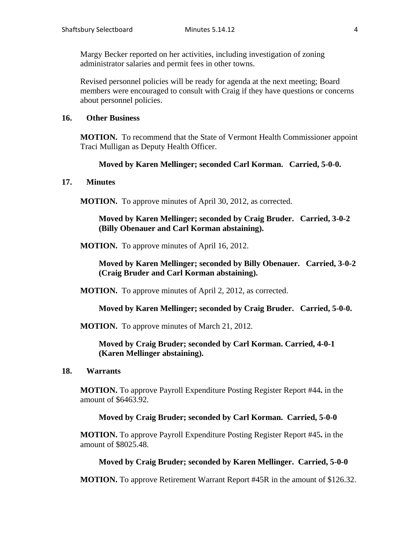Margy Becker reported on her activities, including investigation of zoning administrator salaries and permit fees in other towns.

Revised personnel policies will be ready for agenda at the next meeting; Board members were encouraged to consult with Craig if they have questions or concerns about personnel policies.

#### **16. Other Business**

**MOTION.** To recommend that the State of Vermont Health Commissioner appoint Traci Mulligan as Deputy Health Officer.

#### **Moved by Karen Mellinger; seconded Carl Korman. Carried, 5-0-0.**

#### **17. Minutes**

**MOTION.** To approve minutes of April 30, 2012, as corrected.

**Moved by Karen Mellinger; seconded by Craig Bruder. Carried, 3-0-2 (Billy Obenauer and Carl Korman abstaining).**

**MOTION.** To approve minutes of April 16, 2012.

**Moved by Karen Mellinger; seconded by Billy Obenauer. Carried, 3-0-2 (Craig Bruder and Carl Korman abstaining).**

**MOTION.** To approve minutes of April 2, 2012, as corrected.

**Moved by Karen Mellinger; seconded by Craig Bruder. Carried, 5-0-0.**

**MOTION.** To approve minutes of March 21, 2012.

**Moved by Craig Bruder; seconded by Carl Korman. Carried, 4-0-1 (Karen Mellinger abstaining).**

**18. Warrants**

**MOTION.** To approve Payroll Expenditure Posting Register Report #44**.** in the amount of \$6463.92.

#### **Moved by Craig Bruder; seconded by Carl Korman. Carried, 5-0-0**

**MOTION.** To approve Payroll Expenditure Posting Register Report #45**.** in the amount of \$8025.48.

#### **Moved by Craig Bruder; seconded by Karen Mellinger. Carried, 5-0-0**

**MOTION.** To approve Retirement Warrant Report #45R in the amount of \$126.32.